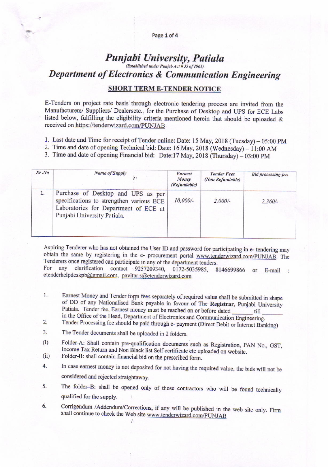#### Page 1 of 4

# Punjabi University, Patiala (Established under Punjab Act # 35 of 1961) **Department of Electronics & Communication Engineering**

## **SHORT TERM E-TENDER NOTICE**

E-Tenders on project rate basis through electronic tendering process are invited from the Manufacturers/ Suppliers/ Dealersetc., for the Purchase of Desktop and UPS for ECE Labs listed below, fulfilling the eligibility criteria mentioned herein that should be uploaded & received on https://tenderwizard.com/PUNJAB

- 1. Last date and Time for receipt of Tender online: Date: 15 May, 2018 (Tuesday) 05:00 PM
- 2. Time and date of opening Technical bid: Date: 16 May, 2018 (Wednesday) 11:00 AM
- 3. Time and date of opening Financial bid: Date:17 May, 2018 (Thursday) 03:00 PM

| Sr.No | <b>Name of Supply</b>                                                                                                                                  | Earnest<br>Money<br>(Refundable) | <b>Tender Fees</b><br>(Non Refundable) | <b>Bid processing fee.</b> |
|-------|--------------------------------------------------------------------------------------------------------------------------------------------------------|----------------------------------|----------------------------------------|----------------------------|
| 1.    | Purchase of Desktop and UPS as per<br>specifications to strengthen various ECE<br>Laboratories for Department of ECE at<br>Punjabi University Patiala. | $10,000/-$                       | $2,000/-$                              | $2,360/-$                  |

Aspiring Tenderer who has not obtained the User ID and password for participating in e- tendering may obtain the same by registering in the e- procurement portal www.tenderwizard.com/PUNJAB. The Tenderers once registered can participate in any of the department tenders. For

clarification contact 9257209340, 0172-5035985, 8146699866 any  $\alpha$  $E$ -mail: etenderhelpdeskpb@gmail.com, pavitar.s@etenderwizard.com

- 1. Earnest Money and Tender form fees separately of required value shall be submitted in shape of DD of any Nationalised Bank payable in favour of The Registrar, Punjabi University Patiala. Tender fee, Earnest money must be reached on or before dated till in the Office of the Head, Department of Electronics and Communication Engineering.
- Tender Processing fee should be paid through e- payment (Direct Debit or Internet Banking)  $2.$
- $3.$ The Tender documents shall be uploaded in 2 folders.
- Folder-A: Shall contain pre-qualification documents such as Registration, PAN No., GST,  $(i)$ Income Tax Return and Non Black list Self certificate etc uploaded on website.
- Folder-B: shall contain financial bid on the prescribed form.  $(ii)$
- In case earnest money is not deposited for not having the required value, the bids will not be 4. considered and rejected straightaway.
- The folder-B: shall be opened only of those contractors who will be found technically 5. qualified for the supply.
- Corrigendum /Addendum/Corrections, if any will be published in the web site only. Firm 6. shall continue to check the Web site www.tenderwizard.com/PUNJAB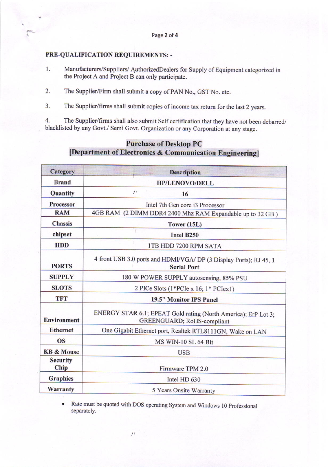### PRE-QUALIFICATION REQUIREMENTS: -

- Manufacturers/Suppliers/ AuthorizedDealers for Supply of Equipment categorized in 1. the Project A and Project B can only participate.
- The Supplier/Firm shall submit a copy of PAN No., GST No. etc. 2.
- The Supplier/firms shall submit copies of income tax return for the last 2 years.  $3.$

The Supplier/firms shall also submit Self certification that they have not been debarred/ 4. blacklisted by any Govt./ Semi Govt. Organization or any Corporation at any stage.

# **Purchase of Desktop PC** [Department of Electronics & Communication Engineering]

| Category                | <b>Description</b>                                                                           |  |  |  |
|-------------------------|----------------------------------------------------------------------------------------------|--|--|--|
| <b>Brand</b>            | <b>HP/LENOVO/DELL</b>                                                                        |  |  |  |
| Quantity                | 21<br>16                                                                                     |  |  |  |
| Processor               | Intel 7th Gen core i3 Processor                                                              |  |  |  |
| <b>RAM</b>              | 4GB RAM (2 DIMM DDR4 2400 Mhz RAM Expandable up to 32 GB)                                    |  |  |  |
| <b>Chassis</b>          | Tower $(15L)$                                                                                |  |  |  |
| chipset                 | <b>Intel B250</b>                                                                            |  |  |  |
| <b>HDD</b>              | 1TB HDD 7200 RPM SATA                                                                        |  |  |  |
| <b>PORTS</b>            | 4 front USB 3.0 ports and HDMI/VGA/ DP (3 Display Ports); RJ 45, 1<br><b>Serial Port</b>     |  |  |  |
| <b>SUPPLY</b>           | 180 W POWER SUPPLY autosensing, 85% PSU                                                      |  |  |  |
| <b>SLOTS</b>            | 2 PICe Slots $(1*PC_1 \times 16; 1*PC_1 \times 1)$                                           |  |  |  |
| <b>TFT</b>              | 19.5" Monitor IPS Panel                                                                      |  |  |  |
| <b>Environment</b>      | ENERGY STAR 6.1; EPEAT Gold rating (North America); ErP Lot 3;<br>GREENGUARD; RoHS-compliant |  |  |  |
| <b>Ethernet</b>         | One Gigabit Ethernet port, Realtek RTL8111GN, Wake on LAN                                    |  |  |  |
| <b>OS</b>               | MS WIN-10 SL 64 Bit                                                                          |  |  |  |
| <b>KB &amp; Mouse</b>   | <b>USB</b>                                                                                   |  |  |  |
| <b>Security</b><br>Chip | Firmware TPM 2.0                                                                             |  |  |  |
| <b>Graphics</b>         | Intel HD 630                                                                                 |  |  |  |
| Warranty                | 5 Years Onsite Warranty                                                                      |  |  |  |

Rate must be quoted with DOS operating System and Windows 10 Professional separately.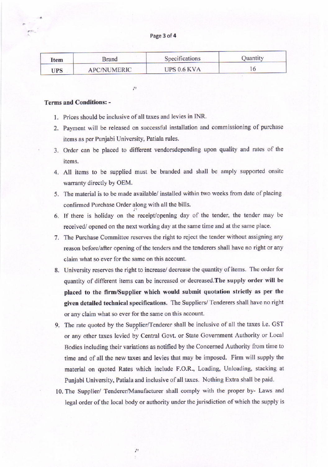Page 3 of 4

| Item       | Brand              | Specifications | Quantity |
|------------|--------------------|----------------|----------|
| <b>UPS</b> | <b>APC/NUMERIC</b> | UPS 0.6 KVA    |          |

tt

#### Terms and Conditions: -

- 1. Prices should be inclusive of all taxes and levies in INR.
- 2. Payment will be released on successfut installation and commissioning of purchase items as per Punjabi University, Patiala rules.
- 3. Order can be placed to different vendorsdepending upon quality and mtes of the items.
- 4. All items to be supplied must be branded and shall be amply supported onsite warranty directly by OEM.
- 5. The material is to be made available/ installed within two weeks from date of placing confirmed Purchase Order along with all the bills.
- 6. If there is holiday on the receipt/opening day of the tender, the tender may be received/ opened on the next working day at the same time and at the same place.
- 7. The Purchase Committee reserves the right to reject the tender without assigning any reason before/after opening of the tenders and the tenderers shall have no right or any claim what so ever for the same on this account.
- 8. University reserves the right to increase/ decrease the quantity of items. The order for quantity of different items can be increased or decreased. The supply order will be placed to the firm/Supplier which would submit quotation strictly as per the given detailed technical specifications. The Suppliers/ Tenderers shall have no right or any claim what so ever for the same on this account.
- 9. The rate quoted by the Supplier/Tenderer shall be inclusive of all the taxes i.e. GST or any othet taxes levied by Central Covt. or State Govemment Authority or Local Bodies including their variations as notified by the Concerned Authority from time to time and of all the new taxes and levies that may be imposed. Firm will supply the material on quoted Rates which include F.O.R., Loading, Unloading, stacking at Punjabi University, Patiala and inclusive of all taxes. Nothing Extra shall be paid.
- 10. The Supplier/ Tendercr/Manufacturer shall comply with the proper by- Laws and legal order of the local body or authority under the jurisdiction of which the supply is